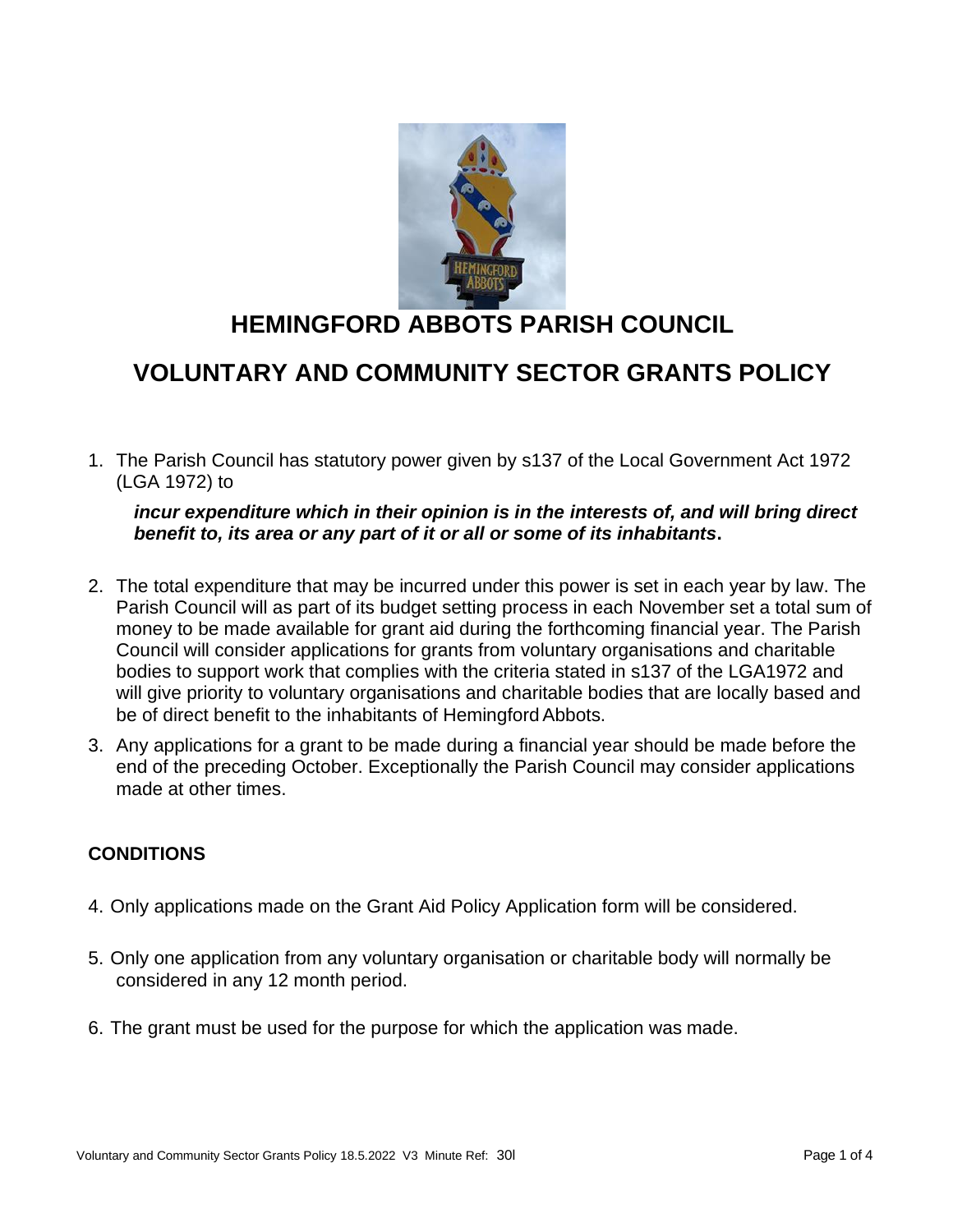

# **HEMINGFORD ABBOTS PARISH COUNCIL**

### **VOLUNTARY AND COMMUNITY SECTOR GRANTS POLICY**

1. The Parish Council has statutory power given by s137 of the Local Government Act 1972 (LGA 1972) to

*incur expenditure which in their opinion is in the interests of, and will bring direct benefit to, its area or any part of it or all or some of its inhabitants***.**

- 2. The total expenditure that may be incurred under this power is set in each year by law. The Parish Council will as part of its budget setting process in each November set a total sum of money to be made available for grant aid during the forthcoming financial year. The Parish Council will consider applications for grants from voluntary organisations and charitable bodies to support work that complies with the criteria stated in s137 of the LGA1972 and will give priority to voluntary organisations and charitable bodies that are locally based and be of direct benefit to the inhabitants of HemingfordAbbots.
- 3. Any applications for a grant to be made during a financial year should be made before the end of the preceding October. Exceptionally the Parish Council may consider applications made at other times.

#### **CONDITIONS**

- 4. Only applications made on the Grant Aid Policy Application form will be considered.
- 5. Only one application from any voluntary organisation or charitable body will normally be considered in any 12 month period.
- 6. The grant must be used for the purpose for which the application was made.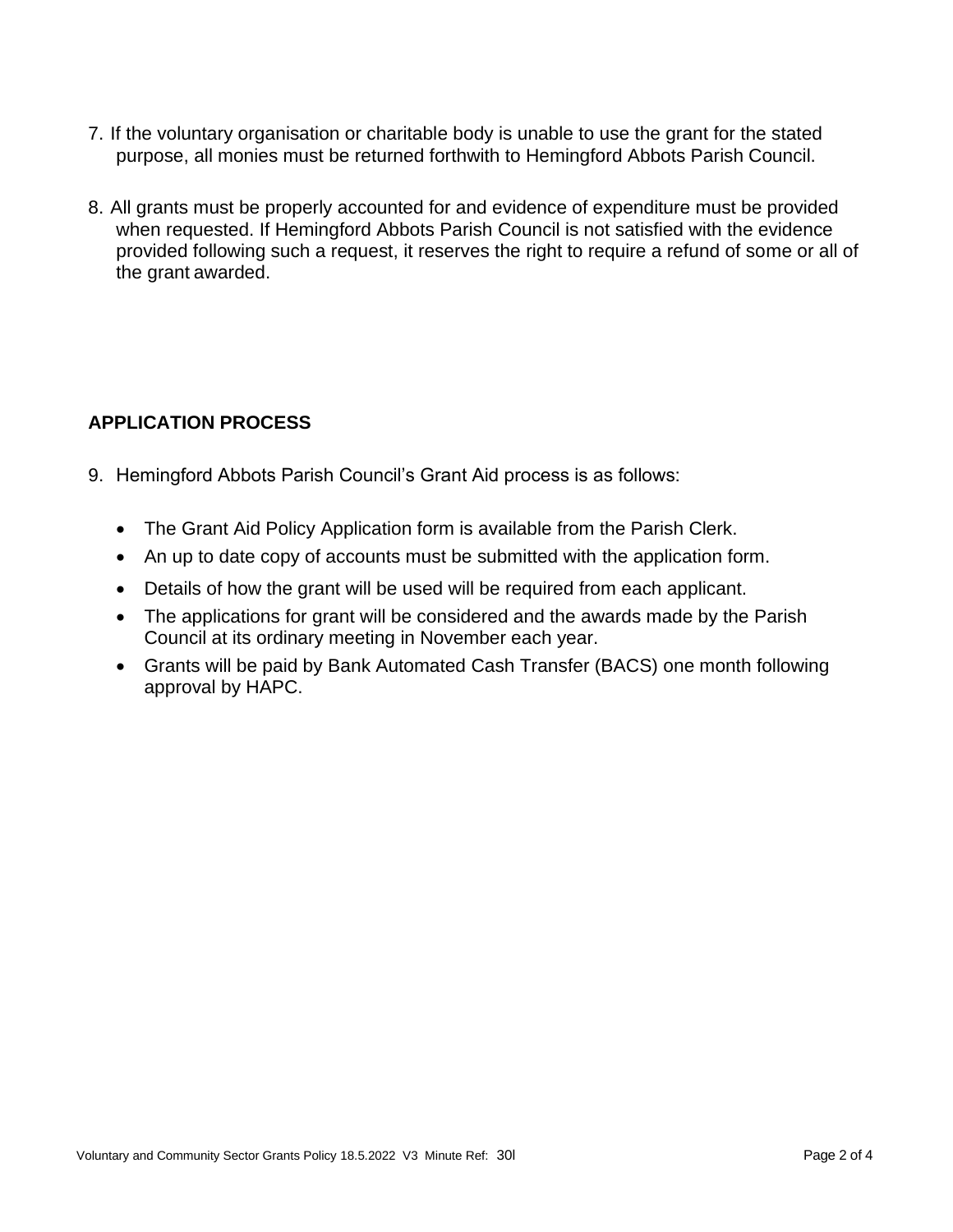- 7. If the voluntary organisation or charitable body is unable to use the grant for the stated purpose, all monies must be returned forthwith to Hemingford Abbots Parish Council.
- 8. All grants must be properly accounted for and evidence of expenditure must be provided when requested. If Hemingford Abbots Parish Council is not satisfied with the evidence provided following such a request, it reserves the right to require a refund of some or all of the grant awarded.

#### **APPLICATION PROCESS**

- 9. Hemingford Abbots Parish Council's Grant Aid process is as follows:
	- The Grant Aid Policy Application form is available from the Parish Clerk.
	- An up to date copy of accounts must be submitted with the application form.
	- Details of how the grant will be used will be required from each applicant.
	- The applications for grant will be considered and the awards made by the Parish Council at its ordinary meeting in November each year.
	- Grants will be paid by Bank Automated Cash Transfer (BACS) one month following approval by HAPC.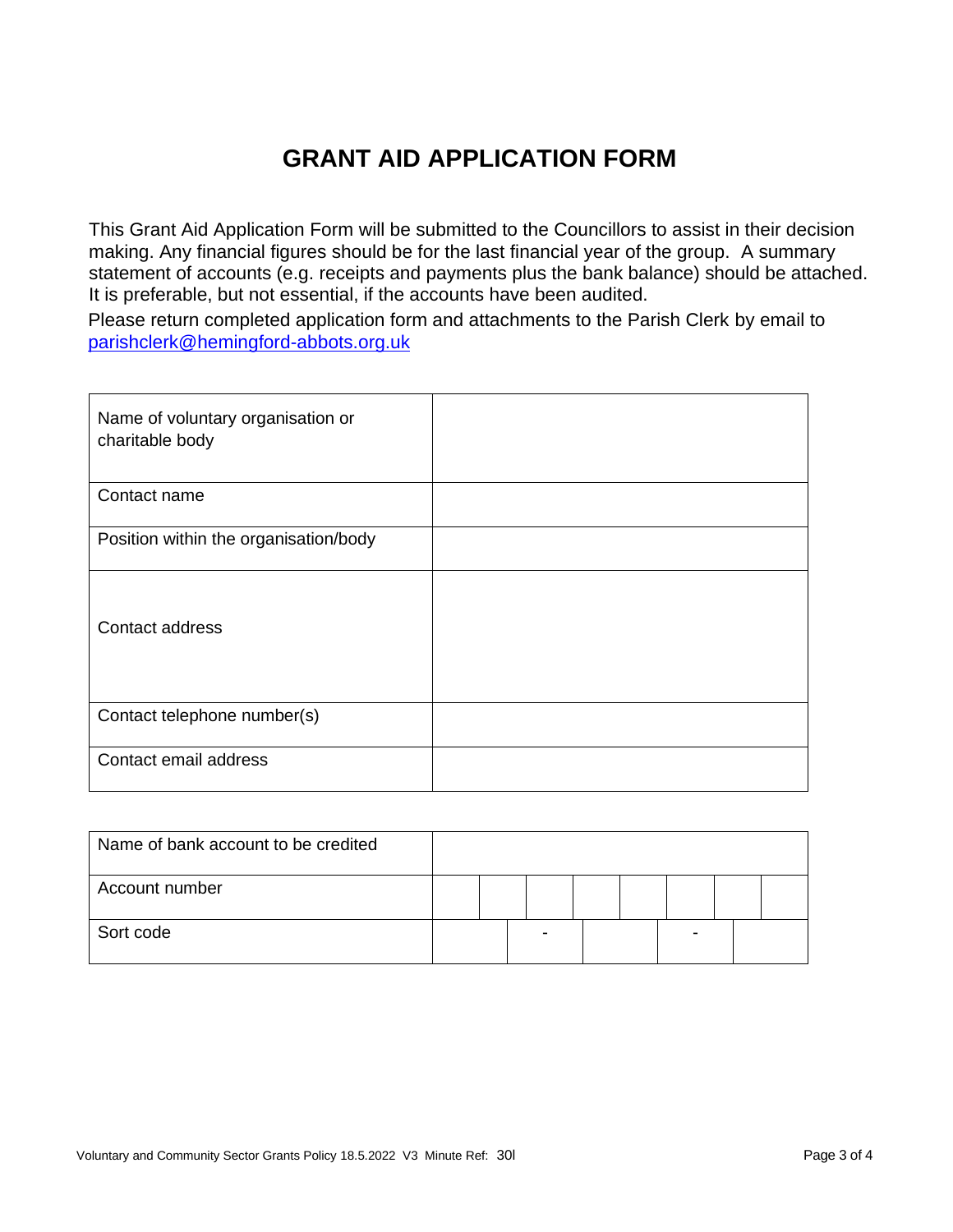## **GRANT AID APPLICATION FORM**

This Grant Aid Application Form will be submitted to the Councillors to assist in their decision making. Any financial figures should be for the last financial year of the group. A summary statement of accounts (e.g. receipts and payments plus the bank balance) should be attached. It is preferable, but not essential, if the accounts have been audited.

Please return completed application form and attachments to the Parish Clerk by email to [parishclerk@hemingford-abbots.org.uk](mailto:parishclerk@hemingford-abbots.org.uk)

| Name of voluntary organisation or<br>charitable body |  |
|------------------------------------------------------|--|
| Contact name                                         |  |
| Position within the organisation/body                |  |
| Contact address                                      |  |
| Contact telephone number(s)                          |  |
| Contact email address                                |  |

| Name of bank account to be credited |  |  |  |  |
|-------------------------------------|--|--|--|--|
| Account number                      |  |  |  |  |
| Sort code                           |  |  |  |  |